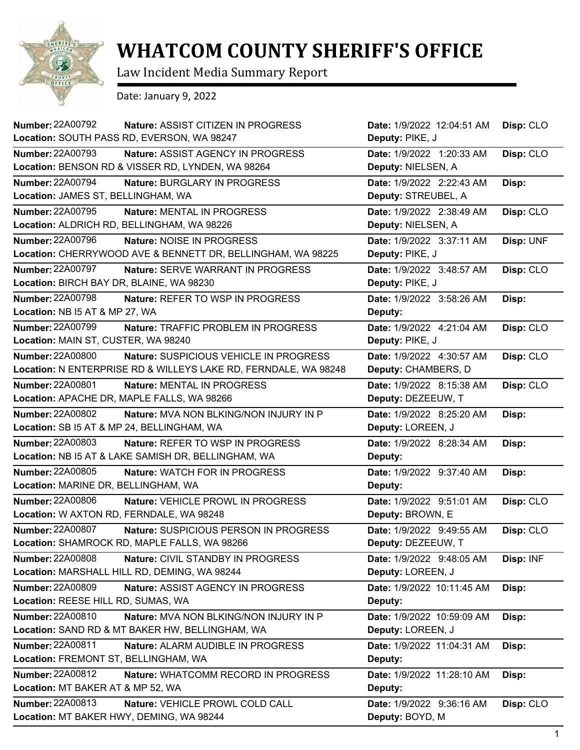

## **WHATCOM COUNTY SHERIFF'S OFFICE**

Law Incident Media Summary Report

Date: January 9, 2022

| <b>Number: 22A00792</b>                      | Nature: ASSIST CITIZEN IN PROGRESS                              | Date: 1/9/2022 12:04:51 AM | Disp: CLO |
|----------------------------------------------|-----------------------------------------------------------------|----------------------------|-----------|
| Location: SOUTH PASS RD, EVERSON, WA 98247   |                                                                 | Deputy: PIKE, J            |           |
| <b>Number: 22A00793</b>                      | Nature: ASSIST AGENCY IN PROGRESS                               | Date: 1/9/2022 1:20:33 AM  | Disp: CLO |
|                                              | Location: BENSON RD & VISSER RD, LYNDEN, WA 98264               | Deputy: NIELSEN, A         |           |
| <b>Number: 22A00794</b>                      | Nature: BURGLARY IN PROGRESS                                    | Date: 1/9/2022 2:22:43 AM  | Disp:     |
| Location: JAMES ST, BELLINGHAM, WA           |                                                                 | Deputy: STREUBEL, A        |           |
| <b>Number: 22A00795</b>                      | <b>Nature: MENTAL IN PROGRESS</b>                               | Date: 1/9/2022 2:38:49 AM  | Disp: CLO |
| Location: ALDRICH RD, BELLINGHAM, WA 98226   |                                                                 | Deputy: NIELSEN, A         |           |
| <b>Number: 22A00796</b>                      | Nature: NOISE IN PROGRESS                                       | Date: 1/9/2022 3:37:11 AM  | Disp: UNF |
|                                              | Location: CHERRYWOOD AVE & BENNETT DR, BELLINGHAM, WA 98225     | Deputy: PIKE, J            |           |
| <b>Number: 22A00797</b>                      | Nature: SERVE WARRANT IN PROGRESS                               | Date: 1/9/2022 3:48:57 AM  | Disp: CLO |
| Location: BIRCH BAY DR, BLAINE, WA 98230     |                                                                 | Deputy: PIKE, J            |           |
| <b>Number: 22A00798</b>                      | <b>Nature: REFER TO WSP IN PROGRESS</b>                         | Date: 1/9/2022 3:58:26 AM  | Disp:     |
| Location: NB I5 AT & MP 27, WA               |                                                                 | Deputy:                    |           |
| Number: 22A00799                             | Nature: TRAFFIC PROBLEM IN PROGRESS                             | Date: 1/9/2022 4:21:04 AM  | Disp: CLO |
| Location: MAIN ST, CUSTER, WA 98240          |                                                                 | Deputy: PIKE, J            |           |
| <b>Number: 22A00800</b>                      | Nature: SUSPICIOUS VEHICLE IN PROGRESS                          | Date: 1/9/2022 4:30:57 AM  | Disp: CLO |
|                                              | Location: N ENTERPRISE RD & WILLEYS LAKE RD, FERNDALE, WA 98248 | Deputy: CHAMBERS, D        |           |
| <b>Number: 22A00801</b>                      | Nature: MENTAL IN PROGRESS                                      | Date: 1/9/2022 8:15:38 AM  | Disp: CLO |
| Location: APACHE DR, MAPLE FALLS, WA 98266   |                                                                 | Deputy: DEZEEUW, T         |           |
| <b>Number: 22A00802</b>                      | Nature: MVA NON BLKING/NON INJURY IN P                          | Date: 1/9/2022 8:25:20 AM  | Disp:     |
| Location: SB I5 AT & MP 24, BELLINGHAM, WA   |                                                                 | Deputy: LOREEN, J          |           |
| <b>Number: 22A00803</b>                      | Nature: REFER TO WSP IN PROGRESS                                | Date: 1/9/2022 8:28:34 AM  | Disp:     |
|                                              | Location: NB I5 AT & LAKE SAMISH DR, BELLINGHAM, WA             | Deputy:                    |           |
| <b>Number: 22A00805</b>                      | Nature: WATCH FOR IN PROGRESS                                   | Date: 1/9/2022 9:37:40 AM  | Disp:     |
| Location: MARINE DR, BELLINGHAM, WA          |                                                                 | Deputy:                    |           |
| <b>Number: 22A00806</b>                      | Nature: VEHICLE PROWL IN PROGRESS                               | Date: 1/9/2022 9:51:01 AM  | Disp: CLO |
| Location: W AXTON RD, FERNDALE, WA 98248     |                                                                 | Deputy: BROWN, E           |           |
| <b>Number: 22A00807</b>                      | Nature: SUSPICIOUS PERSON IN PROGRESS                           | Date: 1/9/2022 9:49:55 AM  | Disp: CLO |
|                                              | Location: SHAMROCK RD, MAPLE FALLS, WA 98266                    | Deputy: DEZEEUW, T         |           |
| <b>Number: 22A00808</b>                      | Nature: CIVIL STANDBY IN PROGRESS                               | Date: 1/9/2022 9:48:05 AM  | Disp: INF |
| Location: MARSHALL HILL RD, DEMING, WA 98244 |                                                                 | Deputy: LOREEN, J          |           |
| Number: 22A00809                             | Nature: ASSIST AGENCY IN PROGRESS                               | Date: 1/9/2022 10:11:45 AM | Disp:     |
| Location: REESE HILL RD, SUMAS, WA           |                                                                 | Deputy:                    |           |
| Number: 22A00810                             | Nature: MVA NON BLKING/NON INJURY IN P                          | Date: 1/9/2022 10:59:09 AM | Disp:     |
|                                              | Location: SAND RD & MT BAKER HW, BELLINGHAM, WA                 | Deputy: LOREEN, J          |           |
| Number: 22A00811                             | Nature: ALARM AUDIBLE IN PROGRESS                               | Date: 1/9/2022 11:04:31 AM | Disp:     |
| Location: FREMONT ST, BELLINGHAM, WA         |                                                                 | Deputy:                    |           |
| Number: 22A00812                             | Nature: WHATCOMM RECORD IN PROGRESS                             | Date: 1/9/2022 11:28:10 AM | Disp:     |
| Location: MT BAKER AT & MP 52, WA            |                                                                 | Deputy:                    |           |
| Number: 22A00813                             | Nature: VEHICLE PROWL COLD CALL                                 | Date: 1/9/2022 9:36:16 AM  | Disp: CLO |
| Location: MT BAKER HWY, DEMING, WA 98244     |                                                                 | Deputy: BOYD, M            |           |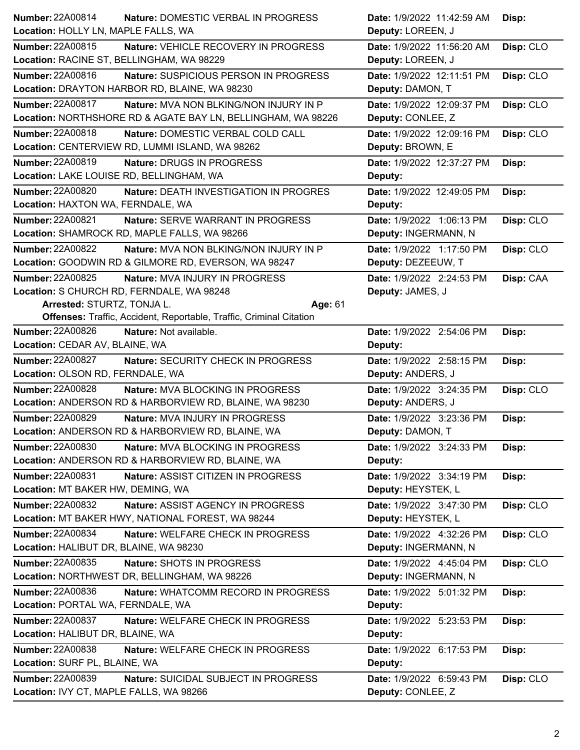| Number: 22A00814<br>Nature: DOMESTIC VERBAL IN PROGRESS                  | Date: 1/9/2022 11:42:59 AM | Disp:     |
|--------------------------------------------------------------------------|----------------------------|-----------|
| Location: HOLLY LN, MAPLE FALLS, WA                                      | Deputy: LOREEN, J          |           |
| <b>Number: 22A00815</b><br>Nature: VEHICLE RECOVERY IN PROGRESS          | Date: 1/9/2022 11:56:20 AM | Disp: CLO |
| Location: RACINE ST, BELLINGHAM, WA 98229                                | Deputy: LOREEN, J          |           |
| Number: 22A00816<br>Nature: SUSPICIOUS PERSON IN PROGRESS                | Date: 1/9/2022 12:11:51 PM | Disp: CLO |
| Location: DRAYTON HARBOR RD, BLAINE, WA 98230                            | Deputy: DAMON, T           |           |
| <b>Number: 22A00817</b><br><b>Nature: MVA NON BLKING/NON INJURY IN P</b> | Date: 1/9/2022 12:09:37 PM | Disp: CLO |
| Location: NORTHSHORE RD & AGATE BAY LN, BELLINGHAM, WA 98226             | Deputy: CONLEE, Z          |           |
| <b>Number: 22A00818</b><br>Nature: DOMESTIC VERBAL COLD CALL             | Date: 1/9/2022 12:09:16 PM | Disp: CLO |
| Location: CENTERVIEW RD, LUMMI ISLAND, WA 98262                          | Deputy: BROWN, E           |           |
| <b>Number: 22A00819</b><br>Nature: DRUGS IN PROGRESS                     | Date: 1/9/2022 12:37:27 PM | Disp:     |
| Location: LAKE LOUISE RD, BELLINGHAM, WA                                 | Deputy:                    |           |
| <b>Number: 22A00820</b><br><b>Nature: DEATH INVESTIGATION IN PROGRES</b> | Date: 1/9/2022 12:49:05 PM | Disp:     |
| Location: HAXTON WA, FERNDALE, WA                                        | Deputy:                    |           |
| <b>Number: 22A00821</b><br>Nature: SERVE WARRANT IN PROGRESS             | Date: 1/9/2022 1:06:13 PM  | Disp: CLO |
| Location: SHAMROCK RD, MAPLE FALLS, WA 98266                             | Deputy: INGERMANN, N       |           |
| <b>Number: 22A00822</b><br><b>Nature: MVA NON BLKING/NON INJURY IN P</b> | Date: 1/9/2022 1:17:50 PM  | Disp: CLO |
| Location: GOODWIN RD & GILMORE RD, EVERSON, WA 98247                     | Deputy: DEZEEUW, T         |           |
| <b>Number: 22A00825</b><br>Nature: MVA INJURY IN PROGRESS                | Date: 1/9/2022 2:24:53 PM  | Disp: CAA |
| Location: S CHURCH RD, FERNDALE, WA 98248                                | Deputy: JAMES, J           |           |
| Arrested: STURTZ, TONJA L.<br>Age: 61                                    |                            |           |
| Offenses: Traffic, Accident, Reportable, Traffic, Criminal Citation      |                            |           |
| <b>Number: 22A00826</b><br>Nature: Not available.                        | Date: 1/9/2022 2:54:06 PM  | Disp:     |
| Location: CEDAR AV, BLAINE, WA                                           | Deputy:                    |           |
| <b>Number: 22A00827</b><br>Nature: SECURITY CHECK IN PROGRESS            | Date: 1/9/2022 2:58:15 PM  | Disp:     |
|                                                                          |                            |           |
| Location: OLSON RD, FERNDALE, WA                                         | Deputy: ANDERS, J          |           |
| <b>Number: 22A00828</b><br>Nature: MVA BLOCKING IN PROGRESS              | Date: 1/9/2022 3:24:35 PM  | Disp: CLO |
| Location: ANDERSON RD & HARBORVIEW RD, BLAINE, WA 98230                  | Deputy: ANDERS, J          |           |
| <b>Number: 22A00829</b><br>Nature: MVA INJURY IN PROGRESS                | Date: 1/9/2022 3:23:36 PM  | Disp:     |
| Location: ANDERSON RD & HARBORVIEW RD, BLAINE, WA                        | Deputy: DAMON, T           |           |
| Number: 22A00830<br>Nature: MVA BLOCKING IN PROGRESS                     | Date: 1/9/2022 3:24:33 PM  | Disp:     |
| Location: ANDERSON RD & HARBORVIEW RD, BLAINE, WA                        | Deputy:                    |           |
| <b>Number: 22A00831</b><br>Nature: ASSIST CITIZEN IN PROGRESS            | Date: 1/9/2022 3:34:19 PM  | Disp:     |
| Location: MT BAKER HW, DEMING, WA                                        | Deputy: HEYSTEK, L         |           |
| <b>Number: 22A00832</b><br>Nature: ASSIST AGENCY IN PROGRESS             | Date: 1/9/2022 3:47:30 PM  | Disp: CLO |
| Location: MT BAKER HWY, NATIONAL FOREST, WA 98244                        | Deputy: HEYSTEK, L         |           |
| <b>Number: 22A00834</b><br>Nature: WELFARE CHECK IN PROGRESS             | Date: 1/9/2022 4:32:26 PM  | Disp: CLO |
| Location: HALIBUT DR, BLAINE, WA 98230                                   | Deputy: INGERMANN, N       |           |
| Number: 22A00835<br>Nature: SHOTS IN PROGRESS                            | Date: 1/9/2022 4:45:04 PM  | Disp: CLO |
| Location: NORTHWEST DR, BELLINGHAM, WA 98226                             | Deputy: INGERMANN, N       |           |
| <b>Number: 22A00836</b><br>Nature: WHATCOMM RECORD IN PROGRESS           | Date: 1/9/2022 5:01:32 PM  | Disp:     |
| Location: PORTAL WA, FERNDALE, WA                                        | Deputy:                    |           |
| <b>Number: 22A00837</b><br>Nature: WELFARE CHECK IN PROGRESS             | Date: 1/9/2022 5:23:53 PM  | Disp:     |
| Location: HALIBUT DR, BLAINE, WA                                         | Deputy:                    |           |
| <b>Number: 22A00838</b><br>Nature: WELFARE CHECK IN PROGRESS             | Date: 1/9/2022 6:17:53 PM  | Disp:     |
| Location: SURF PL, BLAINE, WA                                            | Deputy:                    |           |
| Number: 22A00839<br>Nature: SUICIDAL SUBJECT IN PROGRESS                 | Date: 1/9/2022 6:59:43 PM  | Disp: CLO |